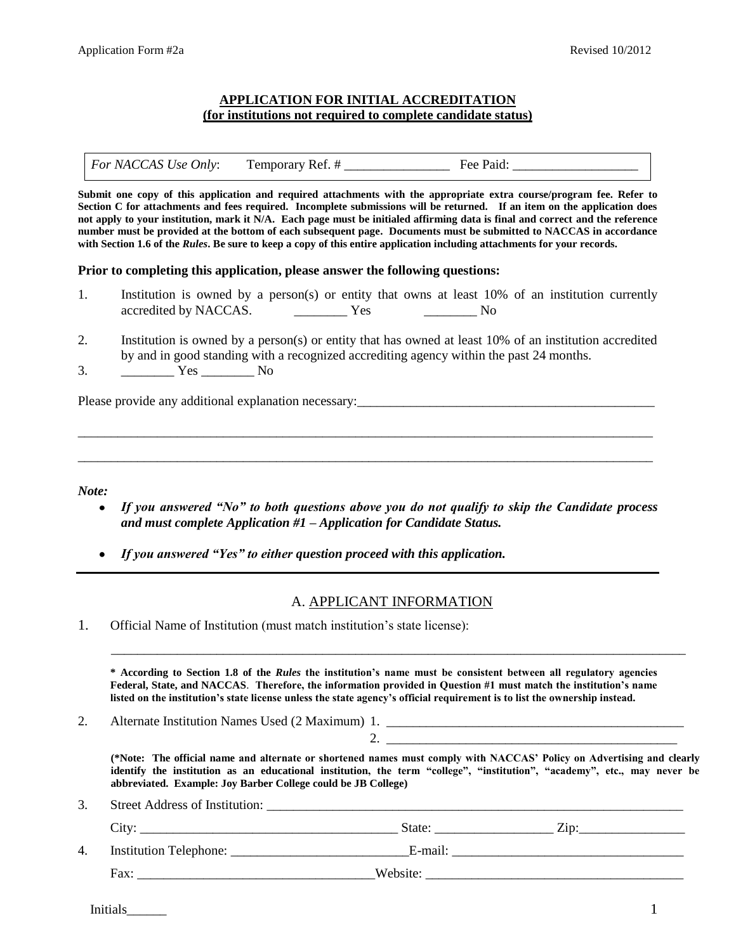# **APPLICATION FOR INITIAL ACCREDITATION (for institutions not required to complete candidate status)**

*For NACCAS Use Only*: Temporary Ref. # \_\_\_\_\_\_\_\_\_\_\_\_\_\_\_\_\_\_\_\_ Fee Paid:

**Submit one copy of this application and required attachments with the appropriate extra course/program fee. Refer to Section C for attachments and fees required. Incomplete submissions will be returned. If an item on the application does not apply to your institution, mark it N/A. Each page must be initialed affirming data is final and correct and the reference number must be provided at the bottom of each subsequent page. Documents must be submitted to NACCAS in accordance with Section 1.6 of the** *Rules***. Be sure to keep a copy of this entire application including attachments for your records.** 

### **Prior to completing this application, please answer the following questions:**

- 1. Institution is owned by a person(s) or entity that owns at least 10% of an institution currently accredited by NACCAS. The Yes The No
- 2. Institution is owned by a person(s) or entity that has owned at least 10% of an institution accredited by and in good standing with a recognized accrediting agency within the past 24 months.

\_\_\_\_\_\_\_\_\_\_\_\_\_\_\_\_\_\_\_\_\_\_\_\_\_\_\_\_\_\_\_\_\_\_\_\_\_\_\_\_\_\_\_\_\_\_\_\_\_\_\_\_\_\_\_\_\_\_\_\_\_\_\_\_\_\_\_\_\_\_\_\_\_\_\_\_\_\_\_\_\_\_\_\_\_\_\_

\_\_\_\_\_\_\_\_\_\_\_\_\_\_\_\_\_\_\_\_\_\_\_\_\_\_\_\_\_\_\_\_\_\_\_\_\_\_\_\_\_\_\_\_\_\_\_\_\_\_\_\_\_\_\_\_\_\_\_\_\_\_\_\_\_\_\_\_\_\_\_\_\_\_\_\_\_\_\_\_\_\_\_\_\_\_\_

3. \_\_\_\_\_\_\_\_ Yes \_\_\_\_\_\_\_\_ No

Please provide any additional explanation necessary:\_\_\_\_\_\_\_\_\_\_\_\_\_\_\_\_\_\_\_\_\_\_\_\_\_\_\_\_\_\_\_\_\_\_\_\_\_\_\_\_\_\_\_\_\_

*Note:*

- $\bullet$ *If you answered "No" to both questions above you do not qualify to skip the Candidate process and must complete Application #1 – Application for Candidate Status.*
- *If you answered "Yes" to either question proceed with this application.*

## A. APPLICANT INFORMATION

1. Official Name of Institution (must match institution's state license):

**\* According to Section 1.8 of the** *Rules* **the institution's name must be consistent between all regulatory agencies Federal, State, and NACCAS**. **Therefore, the information provided in Question #1 must match the institution's name listed on the institution's state license unless the state agency's official requirement is to list the ownership instead.** 

\_\_\_\_\_\_\_\_\_\_\_\_\_\_\_\_\_\_\_\_\_\_\_\_\_\_\_\_\_\_\_\_\_\_\_\_\_\_\_\_\_\_\_\_\_\_\_\_\_\_\_\_\_\_\_\_\_\_\_\_\_\_\_\_\_\_\_\_\_\_\_\_\_\_\_\_\_\_\_\_\_\_\_\_\_\_\_

2. Alternate Institution Names Used (2 Maximum) 1.

2. \_\_\_\_\_\_\_\_\_\_\_\_\_\_\_\_\_\_\_\_\_\_\_\_\_\_\_\_\_\_\_\_\_\_\_\_\_\_\_\_\_\_\_\_

**(\*Note: The official name and alternate or shortened names must comply with NACCAS' Policy on Advertising and clearly identify the institution as an educational institution, the term "college", "institution", "academy", etc., may never be abbreviated. Example: Joy Barber College could be JB College)** 

3. Street Address of Institution:

|    | City:                         | State:   | Zip: |
|----|-------------------------------|----------|------|
| 4. | <b>Institution Telephone:</b> | E-mail:  |      |
|    | Fax:                          | Website: |      |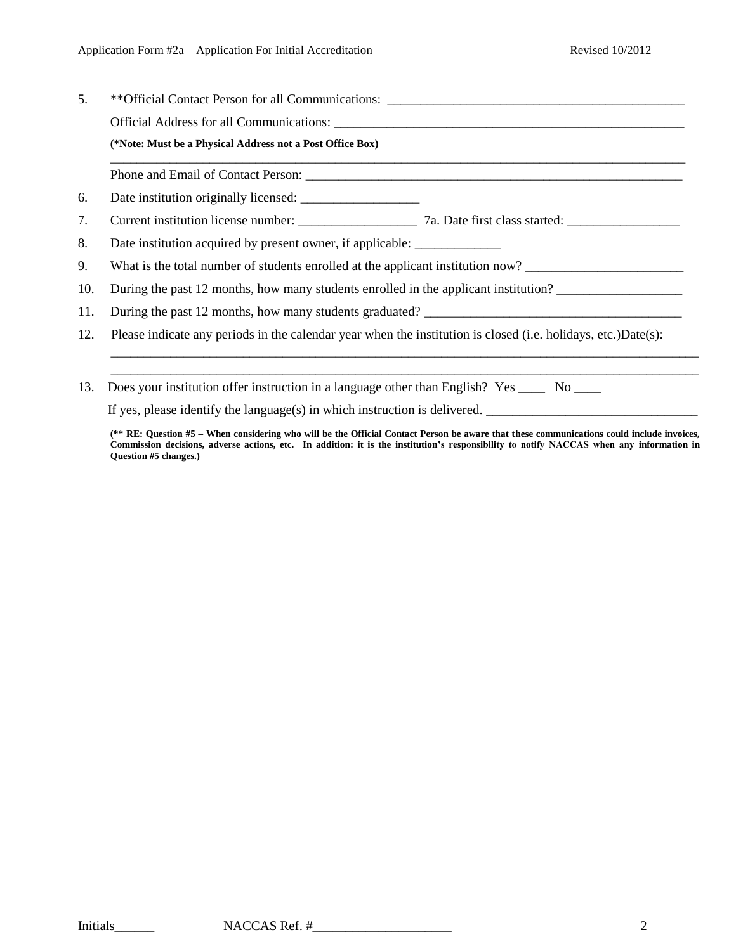| 5.  | **Official Contact Person for all Communications: _______________________________                             |  |  |  |
|-----|---------------------------------------------------------------------------------------------------------------|--|--|--|
|     | (*Note: Must be a Physical Address not a Post Office Box)                                                     |  |  |  |
|     |                                                                                                               |  |  |  |
|     | 6.                                                                                                            |  |  |  |
| 7.  |                                                                                                               |  |  |  |
| 8.  | Date institution acquired by present owner, if applicable: _______________                                    |  |  |  |
| 9.  | What is the total number of students enrolled at the applicant institution now?                               |  |  |  |
| 10. | During the past 12 months, how many students enrolled in the applicant institution?                           |  |  |  |
| 11. | During the past 12 months, how many students graduated?                                                       |  |  |  |
| 12. | Please indicate any periods in the calendar year when the institution is closed (i.e. holidays, etc.)Date(s): |  |  |  |
|     |                                                                                                               |  |  |  |
| 13. | Does your institution offer instruction in a language other than English? Yes _____ No ____                   |  |  |  |
|     | If yes, please identify the language(s) in which instruction is delivered.                                    |  |  |  |

**(\*\* RE: Question #5 – When considering who will be the Official Contact Person be aware that these communications could include invoices, Commission decisions, adverse actions, etc. In addition: it is the institution's responsibility to notify NACCAS when any information in Question #5 changes.)**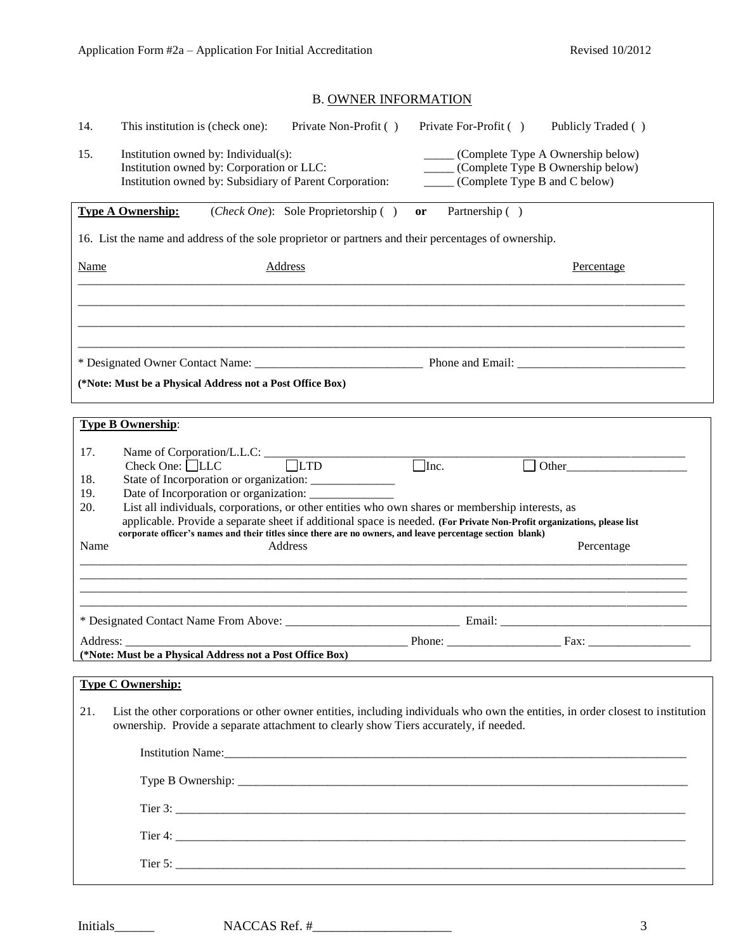# B. OWNER INFORMATION

| 14.                      | This institution is (check one):<br>Private Non-Profit ()                                                                                                                                                                                                                                                                                                                                                                            | Private For-Profit ()                                                                                                       | Publicly Traded () |  |  |
|--------------------------|--------------------------------------------------------------------------------------------------------------------------------------------------------------------------------------------------------------------------------------------------------------------------------------------------------------------------------------------------------------------------------------------------------------------------------------|-----------------------------------------------------------------------------------------------------------------------------|--------------------|--|--|
| 15.                      | Institution owned by: Individual(s):<br>Institution owned by: Corporation or LLC:<br>Institution owned by: Subsidiary of Parent Corporation:                                                                                                                                                                                                                                                                                         | ______ (Complete Type A Ownership below)<br>_____ (Complete Type B Ownership below)<br>______ (Complete Type B and C below) |                    |  |  |
|                          | ( <i>Check One</i> ): Sole Proprietorship ()<br><b>Type A Ownership:</b>                                                                                                                                                                                                                                                                                                                                                             | Partnership ()<br>or                                                                                                        |                    |  |  |
|                          | 16. List the name and address of the sole proprietor or partners and their percentages of ownership.                                                                                                                                                                                                                                                                                                                                 |                                                                                                                             |                    |  |  |
| <b>Name</b>              | <b>Address</b>                                                                                                                                                                                                                                                                                                                                                                                                                       |                                                                                                                             | Percentage         |  |  |
|                          |                                                                                                                                                                                                                                                                                                                                                                                                                                      |                                                                                                                             |                    |  |  |
|                          |                                                                                                                                                                                                                                                                                                                                                                                                                                      |                                                                                                                             |                    |  |  |
|                          |                                                                                                                                                                                                                                                                                                                                                                                                                                      |                                                                                                                             |                    |  |  |
|                          | (*Note: Must be a Physical Address not a Post Office Box)                                                                                                                                                                                                                                                                                                                                                                            |                                                                                                                             |                    |  |  |
|                          |                                                                                                                                                                                                                                                                                                                                                                                                                                      |                                                                                                                             |                    |  |  |
|                          | <b>Type B Ownership:</b>                                                                                                                                                                                                                                                                                                                                                                                                             |                                                                                                                             |                    |  |  |
| 17.<br>18.<br>19.<br>20. | Check One: □LLC<br>$\Box$ Inc.<br>State of Incorporation or organization: _______________<br>List all individuals, corporations, or other entities who own shares or membership interests, as<br>applicable. Provide a separate sheet if additional space is needed. (For Private Non-Profit organizations, please list<br>corporate officer's names and their titles since there are no owners, and leave percentage section blank) |                                                                                                                             |                    |  |  |
| Name                     | Address                                                                                                                                                                                                                                                                                                                                                                                                                              |                                                                                                                             | Percentage         |  |  |
|                          |                                                                                                                                                                                                                                                                                                                                                                                                                                      |                                                                                                                             |                    |  |  |
|                          |                                                                                                                                                                                                                                                                                                                                                                                                                                      |                                                                                                                             |                    |  |  |
|                          | Address:<br>(*Note: Must be a Physical Address not a Post Office Box)                                                                                                                                                                                                                                                                                                                                                                |                                                                                                                             |                    |  |  |
|                          | <b>Type C Ownership:</b>                                                                                                                                                                                                                                                                                                                                                                                                             |                                                                                                                             |                    |  |  |
| 21.                      | List the other corporations or other owner entities, including individuals who own the entities, in order closest to institution<br>ownership. Provide a separate attachment to clearly show Tiers accurately, if needed.                                                                                                                                                                                                            |                                                                                                                             |                    |  |  |
|                          |                                                                                                                                                                                                                                                                                                                                                                                                                                      |                                                                                                                             |                    |  |  |
|                          |                                                                                                                                                                                                                                                                                                                                                                                                                                      |                                                                                                                             |                    |  |  |
|                          |                                                                                                                                                                                                                                                                                                                                                                                                                                      |                                                                                                                             |                    |  |  |
|                          |                                                                                                                                                                                                                                                                                                                                                                                                                                      |                                                                                                                             |                    |  |  |
|                          |                                                                                                                                                                                                                                                                                                                                                                                                                                      |                                                                                                                             |                    |  |  |
|                          | Tier 5: $\frac{1}{2}$ Tier 5:                                                                                                                                                                                                                                                                                                                                                                                                        |                                                                                                                             |                    |  |  |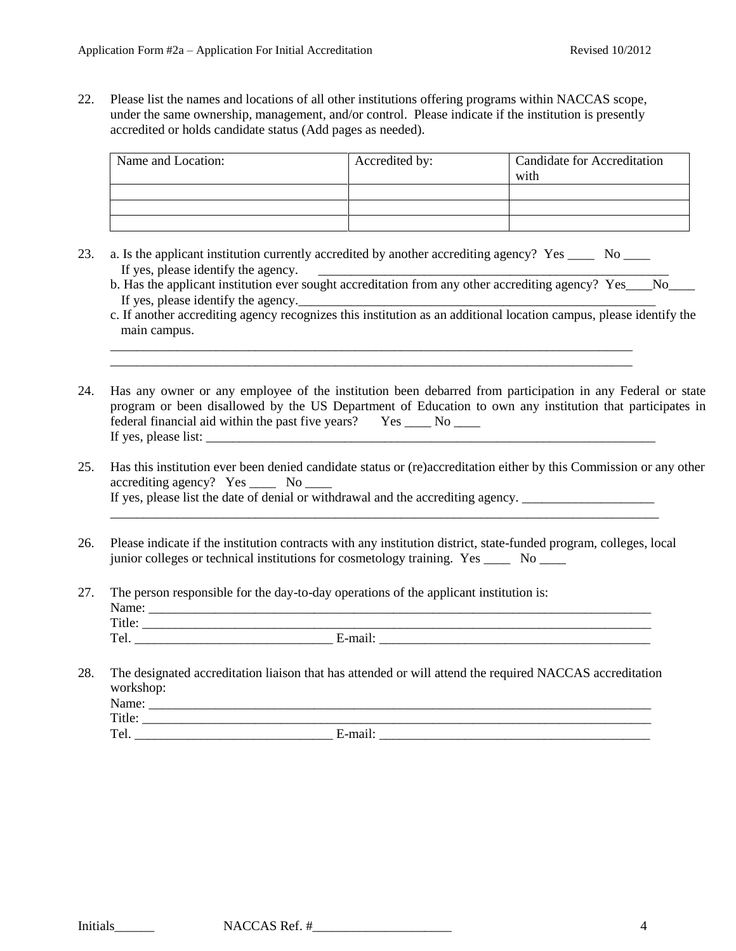22. Please list the names and locations of all other institutions offering programs within NACCAS scope, under the same ownership, management, and/or control. Please indicate if the institution is presently accredited or holds candidate status (Add pages as needed).

| Name and Location: | Accredited by: | <b>Candidate for Accreditation</b><br>with |
|--------------------|----------------|--------------------------------------------|
|                    |                |                                            |
|                    |                |                                            |
|                    |                |                                            |

23. a. Is the applicant institution currently accredited by another accrediting agency? Yes No If yes, please identify the agency.

\_\_\_\_\_\_\_\_\_\_\_\_\_\_\_\_\_\_\_\_\_\_\_\_\_\_\_\_\_\_\_\_\_\_\_\_\_\_\_\_\_\_\_\_\_\_\_\_\_\_\_\_\_\_\_\_\_\_\_\_\_\_\_\_\_\_\_\_\_\_\_\_\_\_\_\_\_\_\_ \_\_\_\_\_\_\_\_\_\_\_\_\_\_\_\_\_\_\_\_\_\_\_\_\_\_\_\_\_\_\_\_\_\_\_\_\_\_\_\_\_\_\_\_\_\_\_\_\_\_\_\_\_\_\_\_\_\_\_\_\_\_\_\_\_\_\_\_\_\_\_\_\_\_\_\_\_\_\_

- b. Has the applicant institution ever sought accreditation from any other accrediting agency? Yes\_\_\_\_No\_\_\_\_\_\_ If yes, please identify the agency.
- c. If another accrediting agency recognizes this institution as an additional location campus, please identify the main campus.
- 24. Has any owner or any employee of the institution been debarred from participation in any Federal or state program or been disallowed by the US Department of Education to own any institution that participates in federal financial aid within the past five years? Yes \_\_\_\_ No \_\_\_\_ If yes, please list: \_\_\_\_\_\_\_\_\_\_\_\_\_\_\_\_\_\_\_\_\_\_\_\_\_\_\_\_\_\_\_\_\_\_\_\_\_\_\_\_\_\_\_\_\_\_\_\_\_\_\_\_\_\_\_\_\_\_\_\_\_\_\_\_\_\_\_\_
- 25. Has this institution ever been denied candidate status or (re)accreditation either by this Commission or any other accrediting agency? Yes \_\_\_\_ No \_\_\_\_ If yes, please list the date of denial or withdrawal and the accrediting agency.

\_\_\_\_\_\_\_\_\_\_\_\_\_\_\_\_\_\_\_\_\_\_\_\_\_\_\_\_\_\_\_\_\_\_\_\_\_\_\_\_\_\_\_\_\_\_\_\_\_\_\_\_\_\_\_\_\_\_\_\_\_\_\_\_\_\_\_\_\_\_\_\_\_\_\_\_\_\_\_\_\_\_\_

- 26. Please indicate if the institution contracts with any institution district, state-funded program, colleges, local junior colleges or technical institutions for cosmetology training. Yes \_\_\_\_\_ No \_\_\_\_
- 27. The person responsible for the day-to-day operations of the applicant institution is: Name: \_\_\_\_\_\_\_\_\_\_\_\_\_\_\_\_\_\_\_\_\_\_\_\_\_\_\_\_\_\_\_\_\_\_\_\_\_\_\_\_\_\_\_\_\_\_\_\_\_\_\_\_\_\_\_\_\_\_\_\_\_\_\_\_\_\_\_\_\_\_\_\_\_\_\_\_ Title:  $\Box$ Tel. \_\_\_\_\_\_\_\_\_\_\_\_\_\_\_\_\_\_\_\_\_\_\_\_\_\_\_\_\_\_ E-mail: \_\_\_\_\_\_\_\_\_\_\_\_\_\_\_\_\_\_\_\_\_\_\_\_\_\_\_\_\_\_\_\_\_\_\_\_\_\_\_\_\_
- 28. The designated accreditation liaison that has attended or will attend the required NACCAS accreditation workshop: Name: \_\_\_\_\_\_\_\_\_\_\_\_\_\_\_\_\_\_\_\_\_\_\_\_\_\_\_\_\_\_\_\_\_\_\_\_\_\_\_\_\_\_\_\_\_\_\_\_\_\_\_\_\_\_\_\_\_\_\_\_\_\_\_\_\_\_\_\_\_\_\_\_\_\_\_\_ Title: \_\_\_\_\_\_\_\_\_\_\_\_\_\_\_\_\_\_\_\_\_\_\_\_\_\_\_\_\_\_\_\_\_\_\_\_\_\_\_\_\_\_\_\_\_\_\_\_\_\_\_\_\_\_\_\_\_\_\_\_\_\_\_\_\_\_\_\_\_\_\_\_\_\_\_\_\_

Tel. E-mail: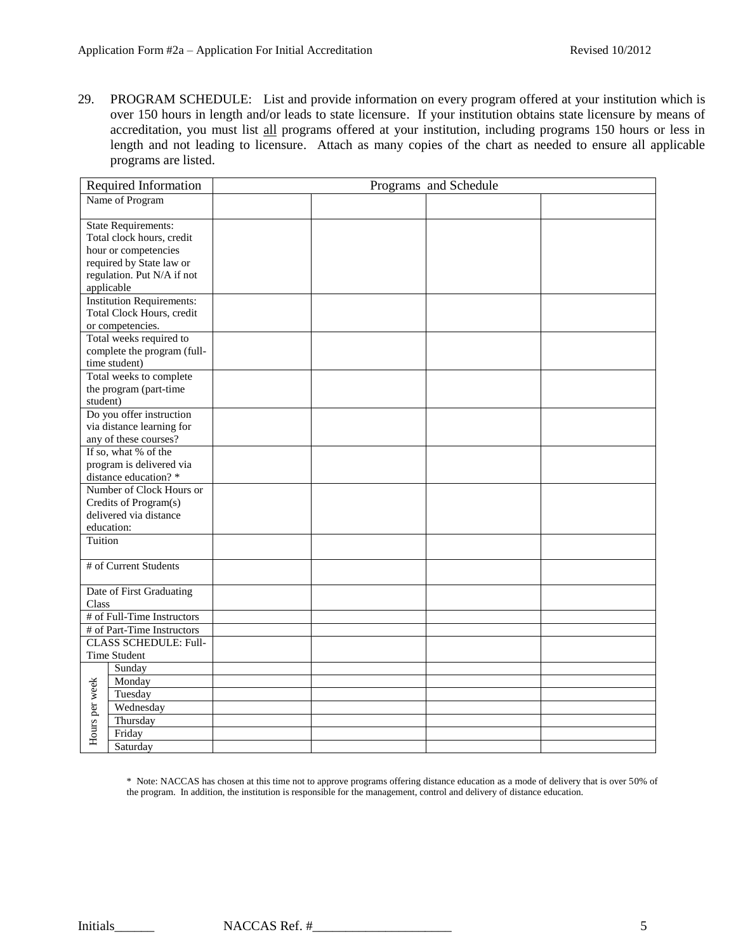29. PROGRAM SCHEDULE: List and provide information on every program offered at your institution which is over 150 hours in length and/or leads to state licensure. If your institution obtains state licensure by means of accreditation, you must list all programs offered at your institution, including programs 150 hours or less in length and not leading to licensure. Attach as many copies of the chart as needed to ensure all applicable programs are listed.

|                | Required Information                              |  | Programs and Schedule |  |
|----------------|---------------------------------------------------|--|-----------------------|--|
|                | Name of Program                                   |  |                       |  |
|                |                                                   |  |                       |  |
|                | <b>State Requirements:</b>                        |  |                       |  |
|                | Total clock hours, credit                         |  |                       |  |
|                | hour or competencies                              |  |                       |  |
|                | required by State law or                          |  |                       |  |
|                | regulation. Put N/A if not                        |  |                       |  |
|                | applicable                                        |  |                       |  |
|                | <b>Institution Requirements:</b>                  |  |                       |  |
|                | Total Clock Hours, credit                         |  |                       |  |
|                | or competencies.                                  |  |                       |  |
|                | Total weeks required to                           |  |                       |  |
|                | complete the program (full-                       |  |                       |  |
|                | time student)                                     |  |                       |  |
|                | Total weeks to complete                           |  |                       |  |
|                | the program (part-time                            |  |                       |  |
| student)       |                                                   |  |                       |  |
|                | Do you offer instruction                          |  |                       |  |
|                | via distance learning for                         |  |                       |  |
|                | any of these courses?<br>If so, what % of the     |  |                       |  |
|                |                                                   |  |                       |  |
|                | program is delivered via                          |  |                       |  |
|                | distance education? *<br>Number of Clock Hours or |  |                       |  |
|                | Credits of Program(s)                             |  |                       |  |
|                | delivered via distance                            |  |                       |  |
|                | education:                                        |  |                       |  |
| Tuition        |                                                   |  |                       |  |
|                |                                                   |  |                       |  |
|                | # of Current Students                             |  |                       |  |
|                |                                                   |  |                       |  |
|                | Date of First Graduating                          |  |                       |  |
| Class          |                                                   |  |                       |  |
|                | # of Full-Time Instructors                        |  |                       |  |
|                | # of Part-Time Instructors                        |  |                       |  |
|                | <b>CLASS SCHEDULE: Full-</b>                      |  |                       |  |
|                | Time Student                                      |  |                       |  |
|                | Sunday                                            |  |                       |  |
|                | Monday                                            |  |                       |  |
| Hours per week | Tuesday                                           |  |                       |  |
|                | Wednesday                                         |  |                       |  |
|                | Thursday                                          |  |                       |  |
|                | Friday                                            |  |                       |  |
|                | Saturday                                          |  |                       |  |
|                |                                                   |  |                       |  |

\* Note: NACCAS has chosen at this time not to approve programs offering distance education as a mode of delivery that is over 50% of the program. In addition, the institution is responsible for the management, control and delivery of distance education.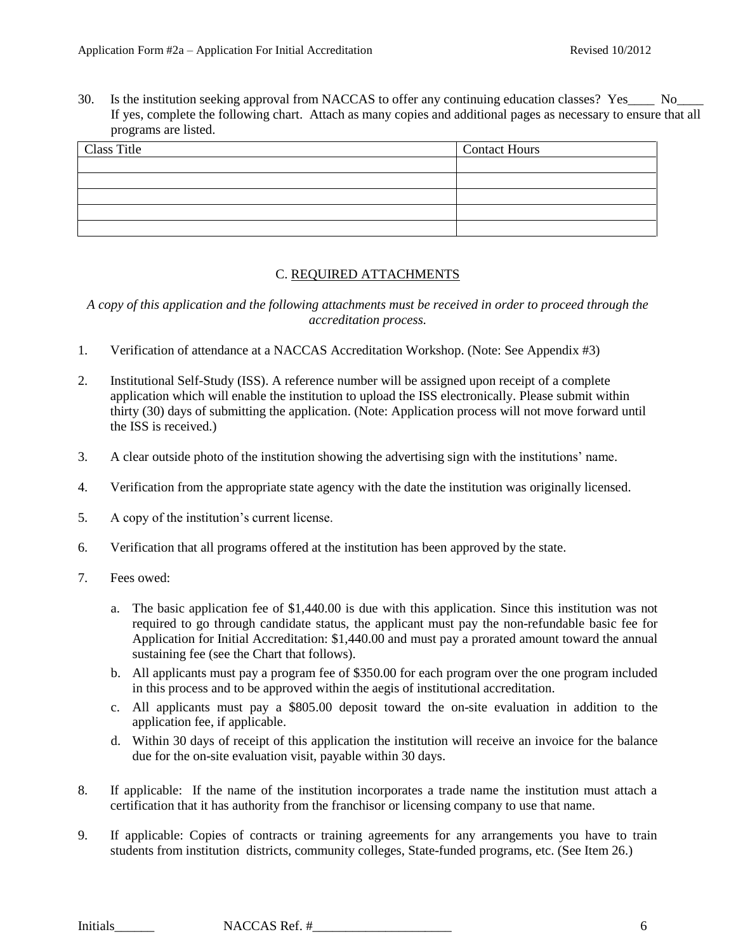30. Is the institution seeking approval from NACCAS to offer any continuing education classes? Yes No If yes, complete the following chart. Attach as many copies and additional pages as necessary to ensure that all programs are listed.

| Class Title | <b>Contact Hours</b> |
|-------------|----------------------|
|             |                      |
|             |                      |
|             |                      |
|             |                      |
|             |                      |

# C. REQUIRED ATTACHMENTS

*A copy of this application and the following attachments must be received in order to proceed through the accreditation process.*

- 1. Verification of attendance at a NACCAS Accreditation Workshop. (Note: See Appendix #3)
- 2. Institutional Self-Study (ISS). A reference number will be assigned upon receipt of a complete application which will enable the institution to upload the ISS electronically. Please submit within thirty (30) days of submitting the application. (Note: Application process will not move forward until the ISS is received.)
- 3. A clear outside photo of the institution showing the advertising sign with the institutions' name.
- 4. Verification from the appropriate state agency with the date the institution was originally licensed.
- 5. A copy of the institution's current license.
- 6. Verification that all programs offered at the institution has been approved by the state.
- 7. Fees owed:
	- a. The basic application fee of \$1,440.00 is due with this application. Since this institution was not required to go through candidate status, the applicant must pay the non-refundable basic fee for Application for Initial Accreditation: \$1,440.00 and must pay a prorated amount toward the annual sustaining fee (see the Chart that follows).
	- b. All applicants must pay a program fee of \$350.00 for each program over the one program included in this process and to be approved within the aegis of institutional accreditation.
	- c. All applicants must pay a \$805.00 deposit toward the on-site evaluation in addition to the application fee, if applicable.
	- d. Within 30 days of receipt of this application the institution will receive an invoice for the balance due for the on-site evaluation visit, payable within 30 days.
- 8. If applicable: If the name of the institution incorporates a trade name the institution must attach a certification that it has authority from the franchisor or licensing company to use that name.
- 9. If applicable: Copies of contracts or training agreements for any arrangements you have to train students from institution districts, community colleges, State-funded programs, etc. (See Item 26.)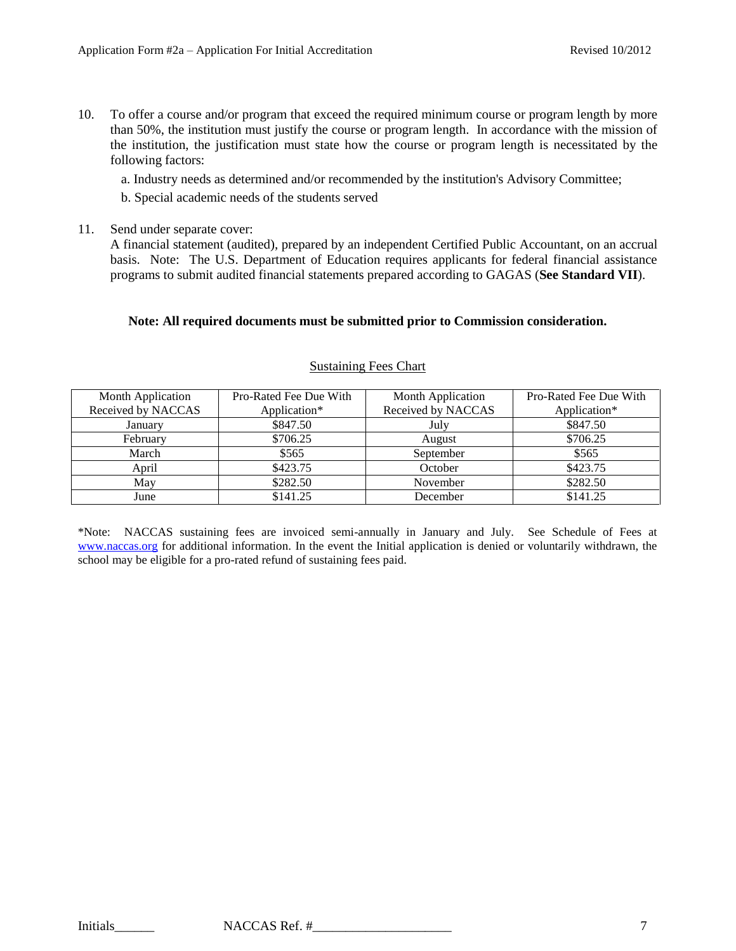10. To offer a course and/or program that exceed the required minimum course or program length by more than 50%, the institution must justify the course or program length. In accordance with the mission of the institution, the justification must state how the course or program length is necessitated by the following factors:

a. Industry needs as determined and/or recommended by the institution's Advisory Committee;

b. Special academic needs of the students served

11. Send under separate cover:

A financial statement (audited), prepared by an independent Certified Public Accountant, on an accrual basis. Note: The U.S. Department of Education requires applicants for federal financial assistance programs to submit audited financial statements prepared according to GAGAS (**See Standard VII**).

## **Note: All required documents must be submitted prior to Commission consideration.**

| Month Application  | Pro-Rated Fee Due With | Month Application  | Pro-Rated Fee Due With |
|--------------------|------------------------|--------------------|------------------------|
| Received by NACCAS | Application*           | Received by NACCAS | Application*           |
| January            | \$847.50               | July               | \$847.50               |
| February           | \$706.25               | August             | \$706.25               |
| March              | \$565                  | September          | \$565                  |
| April              | \$423.75               | October            | \$423.75               |
| May                | \$282.50               | November           | \$282.50               |
| June               | \$141.25               | December           | \$141.25               |

#### Sustaining Fees Chart

\*Note: NACCAS sustaining fees are invoiced semi-annually in January and July. See Schedule of Fees at [www.naccas.org](http://www.naccas.org/) for additional information. In the event the Initial application is denied or voluntarily withdrawn, the school may be eligible for a pro-rated refund of sustaining fees paid.